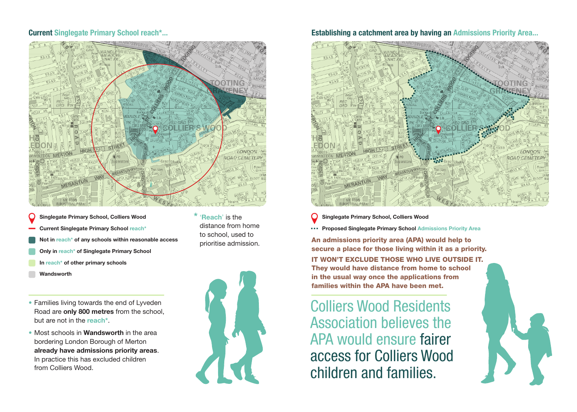

- **Singlegate Primary School, Colliers Wood**
- **Current Singlegate Primary School reach\***
- **Not in reach\* of any schools within reasonable access**
- **Only in reach\* of Singlegate Primary School**
- **In reach\* of other primary schools**
- **Wandsworth**
- Families living towards the end of Lyveden Road are **only 800 metres** from the school, but are not in the **reach\***.
- Most schools in **Wandsworth** in the area bordering London Borough of Merton **already have admissions priority areas**. In practice this has excluded children from Colliers Wood.



**\*** '**Reach**' is the distance from home to school, used to prioritise admission.

### **Current Singlegate Primary School reach\*... Establishing a catchment area by having an Admissions Priority Area...**



**Singlegate Primary School, Colliers Wood**

**Proposed Singlegate Primary School Admissions Priority Area**

An admissions priority area (APA) would help to secure a place for those living within it as a priority.

IT WON'T EXCLUDE THOSE WHO LIVE OUTSIDE IT. They would have distance from home to school in the usual way once the applications from families within the APA have been met.

Colliers Wood Residents Association believes the APA would ensure fairer access for Colliers Wood children and families.